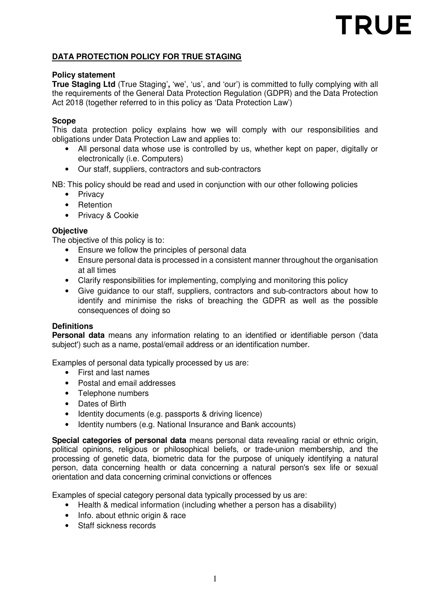# **TRUE**

# **DATA PROTECTION POLICY FOR TRUE STAGING**

#### **Policy statement**

**True Staging Ltd** (True Staging'**,** 'we', 'us', and 'our') is committed to fully complying with all the requirements of the General Data Protection Regulation (GDPR) and the Data Protection Act 2018 (together referred to in this policy as 'Data Protection Law')

#### **Scope**

This data protection policy explains how we will comply with our responsibilities and obligations under Data Protection Law and applies to:

- All personal data whose use is controlled by us, whether kept on paper, digitally or electronically (i.e. Computers)
- Our staff, suppliers, contractors and sub-contractors

NB: This policy should be read and used in conjunction with our other following policies

- Privacy
- Retention
- Privacy & Cookie

#### **Objective**

The objective of this policy is to:

- Ensure we follow the principles of personal data
- Ensure personal data is processed in a consistent manner throughout the organisation at all times
- Clarify responsibilities for implementing, complying and monitoring this policy
- Give guidance to our staff, suppliers, contractors and sub-contractors about how to identify and minimise the risks of breaching the GDPR as well as the possible consequences of doing so

#### **Definitions**

**Personal data** means any information relating to an identified or identifiable person ('data subject') such as a name, postal/email address or an identification number.

Examples of personal data typically processed by us are:

- First and last names
- Postal and email addresses
- Telephone numbers
- Dates of Birth
- Identity documents (e.g. passports & driving licence)
- Identity numbers (e.g. National Insurance and Bank accounts)

**Special categories of personal data** means personal data revealing racial or ethnic origin, political opinions, religious or philosophical beliefs, or trade-union membership, and the processing of genetic data, biometric data for the purpose of uniquely identifying a natural person, data concerning health or data concerning a natural person's sex life or sexual orientation and data concerning criminal convictions or offences

Examples of special category personal data typically processed by us are:

- Health & medical information (including whether a person has a disability)
- Info. about ethnic origin & race
- Staff sickness records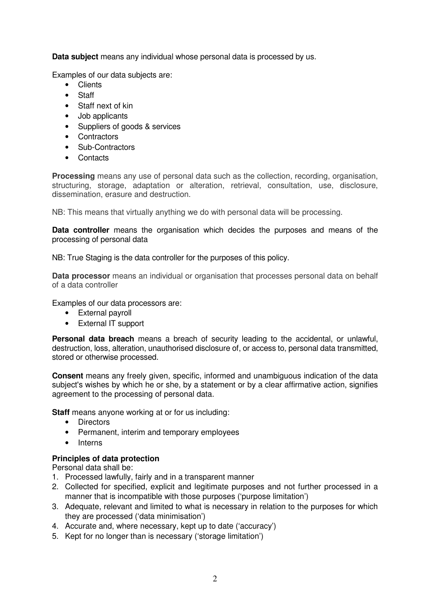**Data subject** means any individual whose personal data is processed by us.

Examples of our data subjects are:

- Clients
- Staff
- Staff next of kin
- Job applicants
- Suppliers of goods & services
- Contractors
- Sub-Contractors
- Contacts

**Processing** means any use of personal data such as the collection, recording, organisation, structuring, storage, adaptation or alteration, retrieval, consultation, use, disclosure, dissemination, erasure and destruction.

NB: This means that virtually anything we do with personal data will be processing.

**Data controller** means the organisation which decides the purposes and means of the processing of personal data

NB: True Staging is the data controller for the purposes of this policy.

**Data processor** means an individual or organisation that processes personal data on behalf of a data controller

Examples of our data processors are:

- External payroll
- External IT support

**Personal data breach** means a breach of security leading to the accidental, or unlawful, destruction, loss, alteration, unauthorised disclosure of, or access to, personal data transmitted, stored or otherwise processed.

**Consent** means any freely given, specific, informed and unambiguous indication of the data subject's wishes by which he or she, by a statement or by a clear affirmative action, signifies agreement to the processing of personal data.

**Staff** means anyone working at or for us including:

- Directors
- Permanent, interim and temporary employees
- Interns

# **Principles of data protection**

Personal data shall be:

- 1. Processed lawfully, fairly and in a transparent manner
- 2. Collected for specified, explicit and legitimate purposes and not further processed in a manner that is incompatible with those purposes ('purpose limitation')
- 3. Adequate, relevant and limited to what is necessary in relation to the purposes for which they are processed ('data minimisation')
- 4. Accurate and, where necessary, kept up to date ('accuracy')
- 5. Kept for no longer than is necessary ('storage limitation')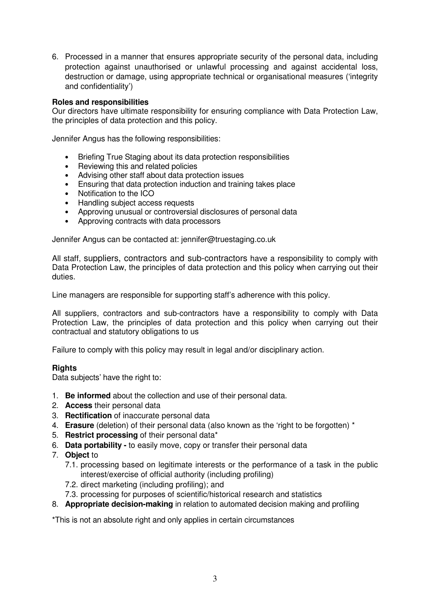6. Processed in a manner that ensures appropriate security of the personal data, including protection against unauthorised or unlawful processing and against accidental loss, destruction or damage, using appropriate technical or organisational measures ('integrity and confidentiality')

#### **Roles and responsibilities**

Our directors have ultimate responsibility for ensuring compliance with Data Protection Law, the principles of data protection and this policy.

Jennifer Angus has the following responsibilities:

- Briefing True Staging about its data protection responsibilities
- Reviewing this and related policies
- Advising other staff about data protection issues
- Ensuring that data protection induction and training takes place
- Notification to the ICO
- Handling subject access requests
- Approving unusual or controversial disclosures of personal data
- Approving contracts with data processors

Jennifer Angus can be contacted at: jennifer@truestaging.co.uk

All staff, suppliers, contractors and sub-contractors have a responsibility to comply with Data Protection Law, the principles of data protection and this policy when carrying out their duties.

Line managers are responsible for supporting staff's adherence with this policy.

All suppliers, contractors and sub-contractors have a responsibility to comply with Data Protection Law, the principles of data protection and this policy when carrying out their contractual and statutory obligations to us

Failure to comply with this policy may result in legal and/or disciplinary action.

#### **Rights**

Data subjects' have the right to:

- 1. **Be informed** about the collection and use of their personal data.
- 2. **Access** their personal data
- 3. **Rectification** of inaccurate personal data
- 4. **Erasure** (deletion) of their personal data (also known as the 'right to be forgotten) \*
- 5. **Restrict processing** of their personal data\*
- 6. **Data portability** to easily move, copy or transfer their personal data
- 7. **Object** to
	- 7.1. processing based on legitimate interests or the performance of a task in the public interest/exercise of official authority (including profiling)
	- 7.2. direct marketing (including profiling); and
	- 7.3. processing for purposes of scientific/historical research and statistics
- 8. **Appropriate decision-making** in relation to automated decision making and profiling

\*This is not an absolute right and only applies in certain circumstances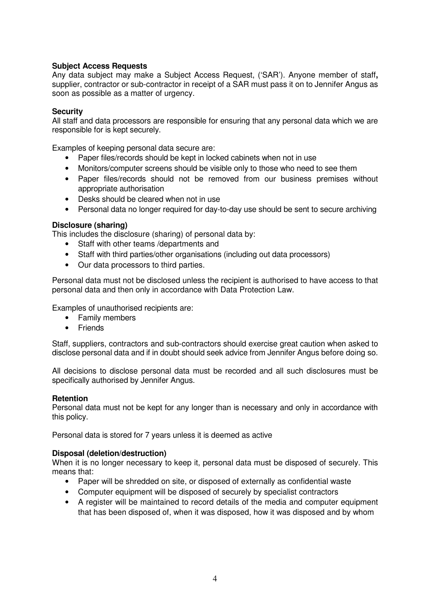# **Subject Access Requests**

Any data subject may make a Subject Access Request, ('SAR'). Anyone member of staff**,** supplier, contractor or sub-contractor in receipt of a SAR must pass it on to Jennifer Angus as soon as possible as a matter of urgency.

#### **Security**

All staff and data processors are responsible for ensuring that any personal data which we are responsible for is kept securely.

Examples of keeping personal data secure are:

- Paper files/records should be kept in locked cabinets when not in use
- Monitors/computer screens should be visible only to those who need to see them
- Paper files/records should not be removed from our business premises without appropriate authorisation
- Desks should be cleared when not in use
- Personal data no longer required for day-to-day use should be sent to secure archiving

#### **Disclosure (sharing)**

This includes the disclosure (sharing) of personal data by:

- Staff with other teams /departments and
- Staff with third parties/other organisations (including out data processors)
- Our data processors to third parties.

Personal data must not be disclosed unless the recipient is authorised to have access to that personal data and then only in accordance with Data Protection Law.

Examples of unauthorised recipients are:

- Family members
- Friends

Staff, suppliers, contractors and sub-contractors should exercise great caution when asked to disclose personal data and if in doubt should seek advice from Jennifer Angus before doing so.

All decisions to disclose personal data must be recorded and all such disclosures must be specifically authorised by Jennifer Angus.

#### **Retention**

Personal data must not be kept for any longer than is necessary and only in accordance with this policy.

Personal data is stored for 7 years unless it is deemed as active

#### **Disposal (deletion/destruction)**

When it is no longer necessary to keep it, personal data must be disposed of securely. This means that:

- Paper will be shredded on site, or disposed of externally as confidential waste
- Computer equipment will be disposed of securely by specialist contractors
- A register will be maintained to record details of the media and computer equipment that has been disposed of, when it was disposed, how it was disposed and by whom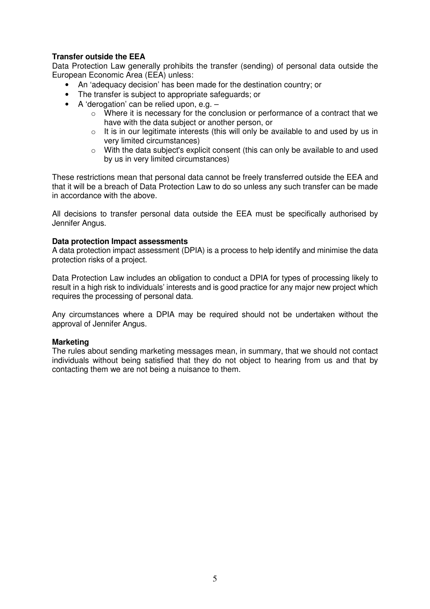#### **Transfer outside the EEA**

Data Protection Law generally prohibits the transfer (sending) of personal data outside the European Economic Area (EEA) unless:

- An 'adequacy decision' has been made for the destination country; or
- The transfer is subject to appropriate safeguards; or
- A 'derogation' can be relied upon, e.g.
	- $\circ$  Where it is necessary for the conclusion or performance of a contract that we have with the data subject or another person, or
	- $\circ$  It is in our legitimate interests (this will only be available to and used by us in very limited circumstances)
	- o With the data subject's explicit consent (this can only be available to and used by us in very limited circumstances)

These restrictions mean that personal data cannot be freely transferred outside the EEA and that it will be a breach of Data Protection Law to do so unless any such transfer can be made in accordance with the above.

All decisions to transfer personal data outside the EEA must be specifically authorised by Jennifer Angus.

#### **Data protection Impact assessments**

A data protection impact assessment (DPIA) is a process to help identify and minimise the data protection risks of a project.

Data Protection Law includes an obligation to conduct a DPIA for types of processing likely to result in a high risk to individuals' interests and is good practice for any major new project which requires the processing of personal data.

Any circumstances where a DPIA may be required should not be undertaken without the approval of Jennifer Angus.

#### **Marketing**

The rules about sending marketing messages mean, in summary, that we should not contact individuals without being satisfied that they do not object to hearing from us and that by contacting them we are not being a nuisance to them.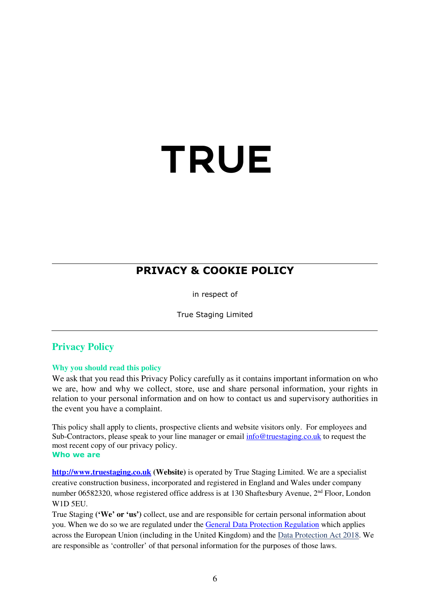# TRUE

# **PRIVACY & COOKIE POLICY**

in respect of

True Staging Limited

# **Privacy Policy**

#### **Why you should read this policy**

We ask that you read this Privacy Policy carefully as it contains important information on who we are, how and why we collect, store, use and share personal information, your rights in relation to your personal information and on how to contact us and supervisory authorities in the event you have a complaint.

This policy shall apply to clients, prospective clients and website visitors only. For employees and Sub-Contractors, please speak to your line manager or email  $\frac{info@true \text{tructaging.co.uk}}{info@true}$  to request the most recent copy of our privacy policy. **Who we are** 

**http://www.truestaging.co.uk (Website)** is operated by True Staging Limited. We are a specialist creative construction business, incorporated and registered in England and Wales under company number 06582320, whose registered office address is at 130 Shaftesbury Avenue, 2<sup>nd</sup> Floor, London W1D 5EU.

True Staging **('We' or 'us')** collect, use and are responsible for certain personal information about you. When we do so we are regulated under the General Data Protection Regulation which applies across the European Union (including in the United Kingdom) and the Data Protection Act 2018. We are responsible as 'controller' of that personal information for the purposes of those laws.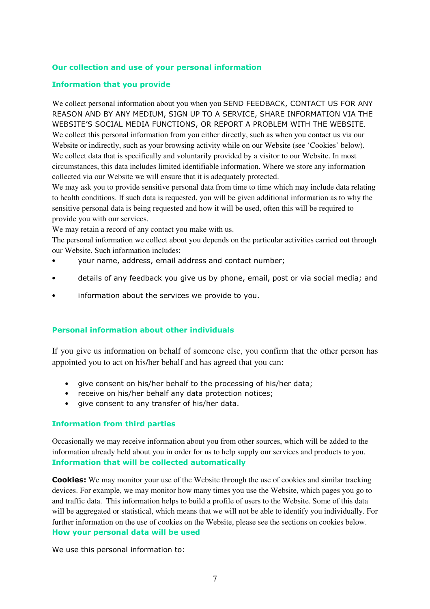#### **Our collection and use of your personal information**

#### **Information that you provide**

We collect personal information about you when you SEND FEEDBACK, CONTACT US FOR ANY REASON AND BY ANY MEDIUM, SIGN UP TO A SERVICE, SHARE INFORMATION VIA THE WEBSITE'S SOCIAL MEDIA FUNCTIONS, OR REPORT A PROBLEM WITH THE WEBSITE. We collect this personal information from you either directly, such as when you contact us via our Website or indirectly, such as your browsing activity while on our Website (see 'Cookies' below). We collect data that is specifically and voluntarily provided by a visitor to our Website. In most circumstances, this data includes limited identifiable information. Where we store any information collected via our Website we will ensure that it is adequately protected.

We may ask you to provide sensitive personal data from time to time which may include data relating to health conditions. If such data is requested, you will be given additional information as to why the sensitive personal data is being requested and how it will be used, often this will be required to provide you with our services.

We may retain a record of any contact you make with us.

The personal information we collect about you depends on the particular activities carried out through our Website. Such information includes:

- your name, address, email address and contact number;
- details of any feedback you give us by phone, email, post or via social media; and
- information about the services we provide to you.

#### **Personal information about other individuals**

If you give us information on behalf of someone else, you confirm that the other person has appointed you to act on his/her behalf and has agreed that you can:

- give consent on his/her behalf to the processing of his/her data;
- receive on his/her behalf any data protection notices;
- give consent to any transfer of his/her data.

#### **Information from third parties**

Occasionally we may receive information about you from other sources, which will be added to the information already held about you in order for us to help supply our services and products to you. **Information that will be collected automatically** 

**Cookies:** We may monitor your use of the Website through the use of cookies and similar tracking devices. For example, we may monitor how many times you use the Website, which pages you go to and traffic data. This information helps to build a profile of users to the Website. Some of this data will be aggregated or statistical, which means that we will not be able to identify you individually. For further information on the use of cookies on the Website, please see the sections on cookies below. **How your personal data will be used** 

We use this personal information to: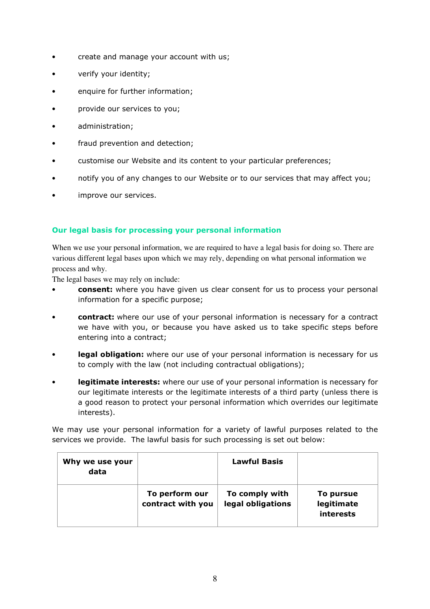- create and manage your account with us;
- verify your identity;
- enquire for further information;
- provide our services to you;
- administration;
- fraud prevention and detection;
- customise our Website and its content to your particular preferences;
- notify you of any changes to our Website or to our services that may affect you;
- improve our services.

#### **Our legal basis for processing your personal information**

When we use your personal information, we are required to have a legal basis for doing so. There are various different legal bases upon which we may rely, depending on what personal information we process and why.

The legal bases we may rely on include:

- **consent:** where you have given us clear consent for us to process your personal information for a specific purpose;
- **contract:** where our use of your personal information is necessary for a contract we have with you, or because you have asked us to take specific steps before entering into a contract;
- **legal obligation:** where our use of your personal information is necessary for us to comply with the law (not including contractual obligations);
- **legitimate interests:** where our use of your personal information is necessary for our legitimate interests or the legitimate interests of a third party (unless there is a good reason to protect your personal information which overrides our legitimate interests).

We may use your personal information for a variety of lawful purposes related to the services we provide. The lawful basis for such processing is set out below:

| Why we use your<br>data |                                     | <b>Lawful Basis</b>                 |                                      |
|-------------------------|-------------------------------------|-------------------------------------|--------------------------------------|
|                         | To perform our<br>contract with you | To comply with<br>legal obligations | To pursue<br>legitimate<br>interests |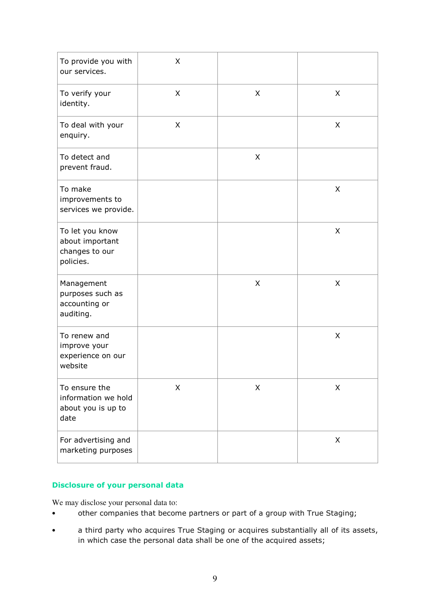| To provide you with<br>our services.                               | X |   |   |
|--------------------------------------------------------------------|---|---|---|
| To verify your<br>identity.                                        | X | X | X |
| To deal with your<br>enquiry.                                      | X |   | X |
| To detect and<br>prevent fraud.                                    |   | X |   |
| To make<br>improvements to<br>services we provide.                 |   |   | X |
| To let you know<br>about important<br>changes to our<br>policies.  |   |   | X |
| Management<br>purposes such as<br>accounting or<br>auditing.       |   | X | X |
| To renew and<br>improve your<br>experience on our<br>website       |   |   | X |
| To ensure the<br>information we hold<br>about you is up to<br>date | X | X | X |
| For advertising and<br>marketing purposes                          |   |   | X |

# **Disclosure of your personal data**

We may disclose your personal data to:

- other companies that become partners or part of a group with True Staging;
- a third party who acquires True Staging or acquires substantially all of its assets, in which case the personal data shall be one of the acquired assets;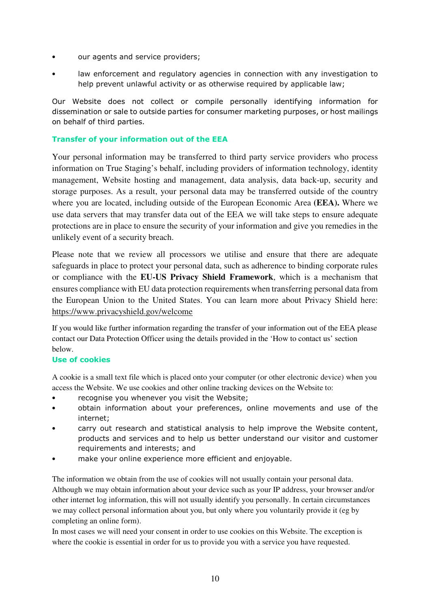- our agents and service providers;
- law enforcement and regulatory agencies in connection with any investigation to help prevent unlawful activity or as otherwise required by applicable law;

Our Website does not collect or compile personally identifying information for dissemination or sale to outside parties for consumer marketing purposes, or host mailings on behalf of third parties.

# **Transfer of your information out of the EEA**

Your personal information may be transferred to third party service providers who process information on True Staging's behalf, including providers of information technology, identity management, Website hosting and management, data analysis, data back-up, security and storage purposes. As a result, your personal data may be transferred outside of the country where you are located, including outside of the European Economic Area **(EEA).** Where we use data servers that may transfer data out of the EEA we will take steps to ensure adequate protections are in place to ensure the security of your information and give you remedies in the unlikely event of a security breach.

Please note that we review all processors we utilise and ensure that there are adequate safeguards in place to protect your personal data, such as adherence to binding corporate rules or compliance with the **EU-US Privacy Shield Framework**, which is a mechanism that ensures compliance with EU data protection requirements when transferring personal data from the European Union to the United States. You can learn more about Privacy Shield here: https://www.privacyshield.gov/welcome

If you would like further information regarding the transfer of your information out of the EEA please contact our Data Protection Officer using the details provided in the 'How to contact us' section below.

#### **Use of cookies**

A cookie is a small text file which is placed onto your computer (or other electronic device) when you access the Website. We use cookies and other online tracking devices on the Website to:

- recognise you whenever you visit the Website;
- obtain information about your preferences, online movements and use of the internet;
- carry out research and statistical analysis to help improve the Website content, products and services and to help us better understand our visitor and customer requirements and interests; and
- make your online experience more efficient and enjoyable.

The information we obtain from the use of cookies will not usually contain your personal data. Although we may obtain information about your device such as your IP address, your browser and/or other internet log information, this will not usually identify you personally. In certain circumstances we may collect personal information about you, but only where you voluntarily provide it (eg by completing an online form).

In most cases we will need your consent in order to use cookies on this Website. The exception is where the cookie is essential in order for us to provide you with a service you have requested.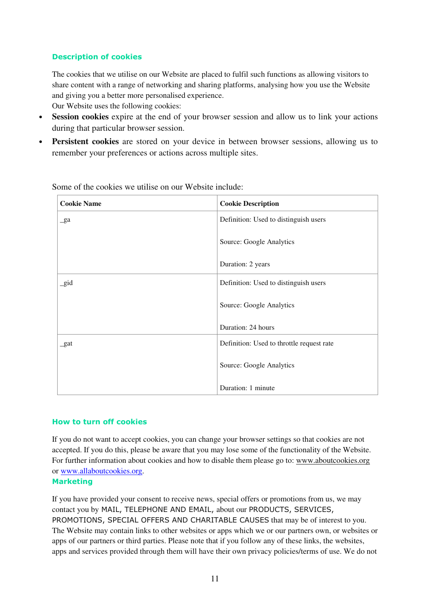# **Description of cookies**

The cookies that we utilise on our Website are placed to fulfil such functions as allowing visitors to share content with a range of networking and sharing platforms, analysing how you use the Website and giving you a better more personalised experience.

Our Website uses the following cookies:

- **Session cookies** expire at the end of your browser session and allow us to link your actions during that particular browser session.
- **Persistent cookies** are stored on your device in between browser sessions, allowing us to remember your preferences or actions across multiple sites.

| <b>Cookie Name</b> | <b>Cookie Description</b>                 |
|--------------------|-------------------------------------------|
| $\_ga$             | Definition: Used to distinguish users     |
|                    | Source: Google Analytics                  |
|                    | Duration: 2 years                         |
| gid                | Definition: Used to distinguish users     |
|                    | Source: Google Analytics                  |
|                    | Duration: 24 hours                        |
| $_$                | Definition: Used to throttle request rate |
|                    | Source: Google Analytics                  |
|                    | Duration: 1 minute                        |

Some of the cookies we utilise on our Website include:

#### **How to turn off cookies**

If you do not want to accept cookies, you can change your browser settings so that cookies are not accepted. If you do this, please be aware that you may lose some of the functionality of the Website. For further information about cookies and how to disable them please go to: www.aboutcookies.org or www.allaboutcookies.org.

#### **Marketing**

If you have provided your consent to receive news, special offers or promotions from us, we may contact you by MAIL, TELEPHONE AND EMAIL, about our PRODUCTS, SERVICES, PROMOTIONS, SPECIAL OFFERS AND CHARITABLE CAUSES that may be of interest to you. The Website may contain links to other websites or apps which we or our partners own, or websites or apps of our partners or third parties. Please note that if you follow any of these links, the websites, apps and services provided through them will have their own privacy policies/terms of use. We do not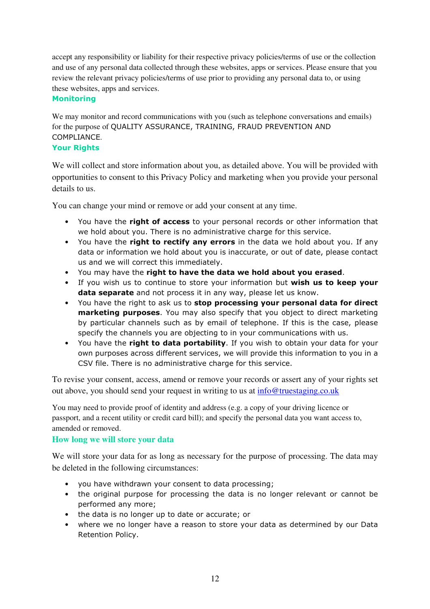accept any responsibility or liability for their respective privacy policies/terms of use or the collection and use of any personal data collected through these websites, apps or services. Please ensure that you review the relevant privacy policies/terms of use prior to providing any personal data to, or using these websites, apps and services.

#### **Monitoring**

We may monitor and record communications with you (such as telephone conversations and emails) for the purpose of QUALITY ASSURANCE, TRAINING, FRAUD PREVENTION AND COMPLIANCE.

# **Your Rights**

We will collect and store information about you, as detailed above. You will be provided with opportunities to consent to this Privacy Policy and marketing when you provide your personal details to us.

You can change your mind or remove or add your consent at any time.

- You have the **right of access** to your personal records or other information that we hold about you. There is no administrative charge for this service.
- You have the **right to rectify any errors** in the data we hold about you. If any data or information we hold about you is inaccurate, or out of date, please contact us and we will correct this immediately.
- You may have the **right to have the data we hold about you erased**.
- If you wish us to continue to store your information but **wish us to keep your data separate** and not process it in any way, please let us know.
- You have the right to ask us to **stop processing your personal data for direct marketing purposes**. You may also specify that you object to direct marketing by particular channels such as by email of telephone. If this is the case, please specify the channels you are objecting to in your communications with us.
- You have the **right to data portability**. If you wish to obtain your data for your own purposes across different services, we will provide this information to you in a CSV file. There is no administrative charge for this service.

To revise your consent, access, amend or remove your records or assert any of your rights set out above, you should send your request in writing to us at info@truestaging.co.uk

You may need to provide proof of identity and address (e.g. a copy of your driving licence or passport, and a recent utility or credit card bill); and specify the personal data you want access to, amended or removed.

# **How long we will store your data**

We will store your data for as long as necessary for the purpose of processing. The data may be deleted in the following circumstances:

- you have withdrawn your consent to data processing;
- the original purpose for processing the data is no longer relevant or cannot be performed any more;
- the data is no longer up to date or accurate; or
- where we no longer have a reason to store your data as determined by our Data Retention Policy.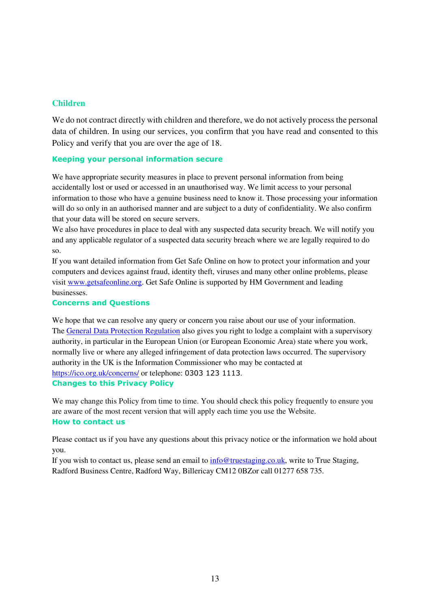#### **Children**

We do not contract directly with children and therefore, we do not actively process the personal data of children. In using our services, you confirm that you have read and consented to this Policy and verify that you are over the age of 18.

#### **Keeping your personal information secure**

We have appropriate security measures in place to prevent personal information from being accidentally lost or used or accessed in an unauthorised way. We limit access to your personal information to those who have a genuine business need to know it. Those processing your information will do so only in an authorised manner and are subject to a duty of confidentiality. We also confirm that your data will be stored on secure servers.

We also have procedures in place to deal with any suspected data security breach. We will notify you and any applicable regulator of a suspected data security breach where we are legally required to do so.

If you want detailed information from Get Safe Online on how to protect your information and your computers and devices against fraud, identity theft, viruses and many other online problems, please visit www.getsafeonline.org. Get Safe Online is supported by HM Government and leading businesses.

#### **Concerns and Questions**

We hope that we can resolve any query or concern you raise about our use of your information. The General Data Protection Regulation also gives you right to lodge a complaint with a supervisory authority, in particular in the European Union (or European Economic Area) state where you work, normally live or where any alleged infringement of data protection laws occurred. The supervisory authority in the UK is the Information Commissioner who may be contacted at https://ico.org.uk/concerns/ or telephone: 0303 123 1113. **Changes to this Privacy Policy** 

We may change this Policy from time to time. You should check this policy frequently to ensure you are aware of the most recent version that will apply each time you use the Website. **How to contact us** 

Please contact us if you have any questions about this privacy notice or the information we hold about you.

If you wish to contact us, please send an email to info@truestaging.co.uk, write to True Staging, Radford Business Centre, Radford Way, Billericay CM12 0BZor call 01277 658 735.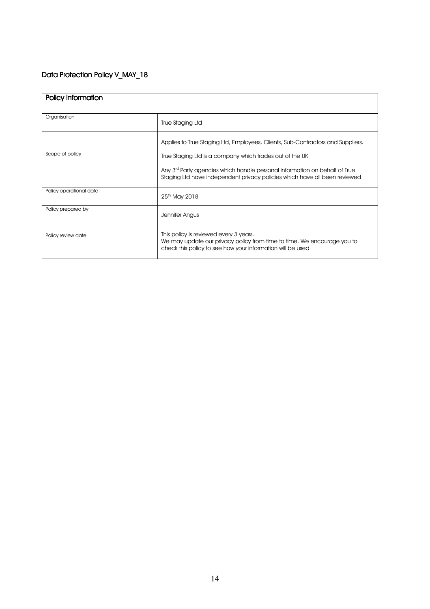# Data Protection Policy V\_MAY\_18

| Policy information      |                                                                                                                                                                                                                                                                                                                     |
|-------------------------|---------------------------------------------------------------------------------------------------------------------------------------------------------------------------------------------------------------------------------------------------------------------------------------------------------------------|
| Organisation            | True Staging Ltd                                                                                                                                                                                                                                                                                                    |
| Scope of policy         | Applies to True Staging Ltd, Employees, Clients, Sub-Contractors and Suppliers.<br>True Staging Ltd is a company which trades out of the UK<br>Any 3 <sup>rd</sup> Party agencies which handle personal information on behalf of True<br>Staging Ltd have independent privacy policies which have all been reviewed |
| Policy operational date | 25 <sup>th</sup> May 2018                                                                                                                                                                                                                                                                                           |
| Policy prepared by      | Jennifer Angus                                                                                                                                                                                                                                                                                                      |
| Policy review date      | This policy is reviewed every 3 years.<br>We may update our privacy policy from time to time. We encourage you to<br>check this policy to see how your information will be used                                                                                                                                     |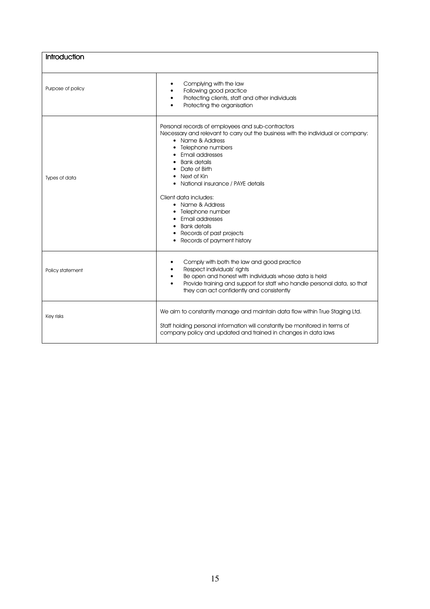| Introduction      |                                                                                                                                                                                                                                                                                                                                                                                                                                                                                      |
|-------------------|--------------------------------------------------------------------------------------------------------------------------------------------------------------------------------------------------------------------------------------------------------------------------------------------------------------------------------------------------------------------------------------------------------------------------------------------------------------------------------------|
| Purpose of policy | Complying with the law<br>$\bullet$<br>Following good practice<br>$\bullet$<br>Protecting clients, staff and other individuals<br>$\bullet$<br>Protecting the organisation                                                                                                                                                                                                                                                                                                           |
| Types of data     | Personal records of employees and sub-contractors<br>Necessary and relevant to carry out the business with the individual or company:<br>• Name & Address<br>Telephone numbers<br>Email addresses<br><b>Bank details</b><br>٠<br>Date of Birth<br>Next of Kin<br>National insurance / PAYE details<br>Client data includes:<br>• Name & Address<br>Telephone number<br>Email addresses<br>$\bullet$<br><b>Bank details</b><br>Records of past projects<br>Records of payment history |
| Policy statement  | Comply with both the law and good practice<br>٠<br>Respect individuals' rights<br>$\bullet$<br>Be open and honest with individuals whose data is held<br>$\bullet$<br>Provide training and support for staff who handle personal data, so that<br>$\bullet$<br>they can act confidently and consistently                                                                                                                                                                             |
| Key risks         | We aim to constantly manage and maintain data flow within True Staging Ltd.<br>Staff holding personal information will constantly be monitored in terms of<br>company policy and updated and trained in changes in data laws                                                                                                                                                                                                                                                         |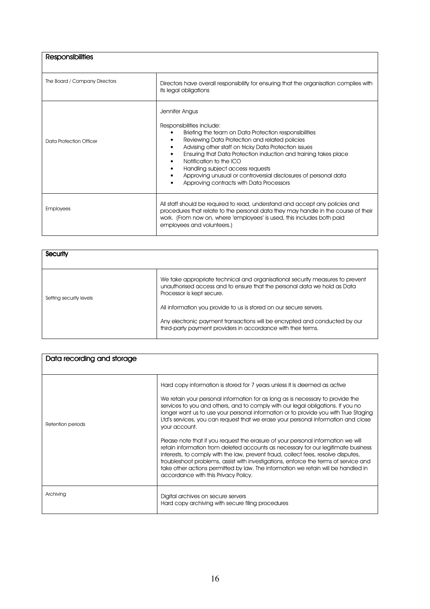| <b>Responsibilities</b>       |                                                                                                                                                                                                                                                                                                                                                                                                                                                                             |
|-------------------------------|-----------------------------------------------------------------------------------------------------------------------------------------------------------------------------------------------------------------------------------------------------------------------------------------------------------------------------------------------------------------------------------------------------------------------------------------------------------------------------|
| The Board / Company Directors | Directors have overall responsibility for ensuring that the organisation complies with<br>its legal obligations                                                                                                                                                                                                                                                                                                                                                             |
| Data Protection Officer       | Jennifer Angus<br>Responsibilities include:<br>Briefing the team on Data Protection responsibilities<br>Reviewing Data Protection and related policies<br>Advising other staff on tricky Data Protection issues<br>Ensuring that Data Protection induction and training takes place<br>Notification to the ICO<br>٠<br>Handling subject access requests<br>٠<br>Approving unusual or controversial disclosures of personal data<br>Approving contracts with Data Processors |
| <b>Employees</b>              | All staff should be required to read, understand and accept any policies and<br>procedures that relate to the personal data they may handle in the course of their<br>work. (From now on, where 'employees' is used, this includes both paid<br>employees and volunteers.)                                                                                                                                                                                                  |

| Security                |                                                                                                                                                                                        |
|-------------------------|----------------------------------------------------------------------------------------------------------------------------------------------------------------------------------------|
| Setting security levels | We take appropriate technical and organisational security measures to prevent<br>unauthorised access and to ensure that the personal data we hold as Data<br>Processor is kept secure. |
|                         | All information you provide to us is stored on our secure servers.                                                                                                                     |
|                         | Any electronic payment transactions will be encrypted and conducted by our<br>third-party payment providers in accordance with their terms.                                            |

| Data recording and storage |                                                                                                                                                                                                                                                                                                                                                                                                                                                                                                                                                                                                                                                                                                                                                                                                                                                                                                                               |
|----------------------------|-------------------------------------------------------------------------------------------------------------------------------------------------------------------------------------------------------------------------------------------------------------------------------------------------------------------------------------------------------------------------------------------------------------------------------------------------------------------------------------------------------------------------------------------------------------------------------------------------------------------------------------------------------------------------------------------------------------------------------------------------------------------------------------------------------------------------------------------------------------------------------------------------------------------------------|
| Retention periods          | Hard copy information is stored for 7 years unless it is deemed as active<br>We retain your personal information for as long as is necessary to provide the<br>services to you and others, and to comply with our legal obligations. If you no<br>longer want us to use your personal information or to provide you with True Staging<br>Ltd's services, you can request that we erase your personal information and close<br>your account.<br>Please note that if you request the erasure of your personal information we will<br>retain information from deleted accounts as necessary for our legitimate business<br>interests, to comply with the law, prevent fraud, collect fees, resolve disputes,<br>troubleshoot problems, assist with investigations, enforce the terms of service and<br>take other actions permitted by law. The information we retain will be handled in<br>accordance with this Privacy Policy. |
| Archiving                  | Digital archives on secure servers<br>Hard copy archiving with secure filing procedures                                                                                                                                                                                                                                                                                                                                                                                                                                                                                                                                                                                                                                                                                                                                                                                                                                       |